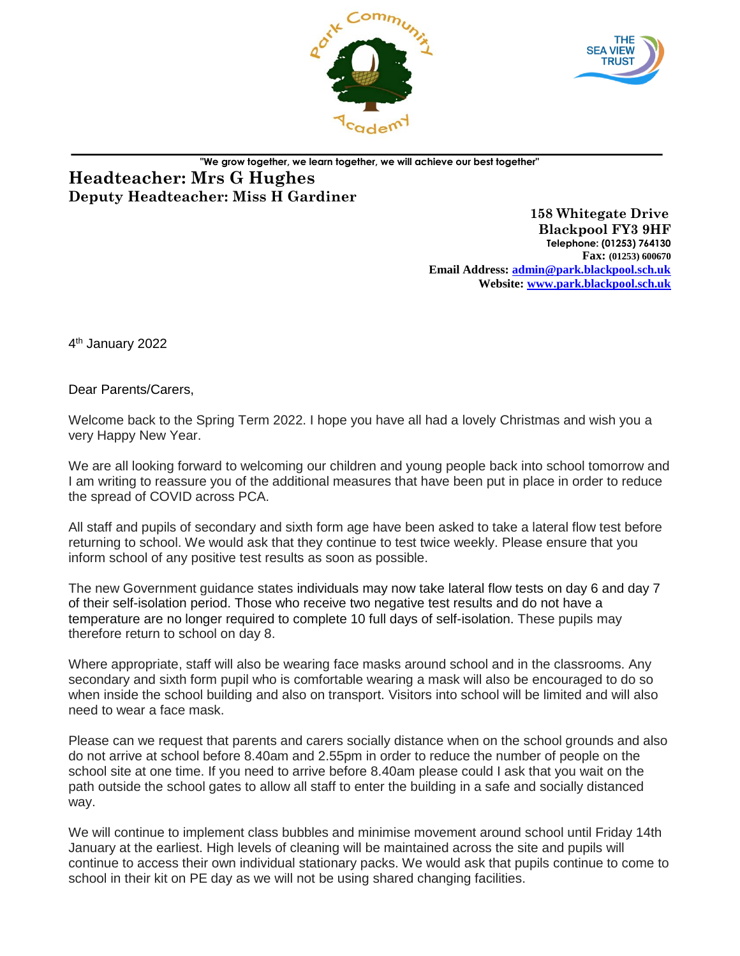



## **"We grow together, we learn together, we will achieve our best together" Headteacher: Mrs G Hughes Deputy Headteacher: Miss H Gardiner**

 **158 Whitegate Drive Blackpool FY3 9HF Telephone: (01253) 764130 Fax: (01253) 600670 Email Address: [admin@park.blackpool.sch.uk](mailto:admin@park.blackpool.sch.uk) Website: www.park.blackpool.sch.uk**

4<sup>th</sup> January 2022

Dear Parents/Carers,

Welcome back to the Spring Term 2022. I hope you have all had a lovely Christmas and wish you a very Happy New Year.

We are all looking forward to welcoming our children and young people back into school tomorrow and I am writing to reassure you of the additional measures that have been put in place in order to reduce the spread of COVID across PCA.

All staff and pupils of secondary and sixth form age have been asked to take a lateral flow test before returning to school. We would ask that they continue to test twice weekly. Please ensure that you inform school of any positive test results as soon as possible.

The new Government guidance states individuals may now take lateral flow tests on day 6 and day 7 of their self-isolation period. Those who receive two negative test results and do not have a temperature are no longer required to complete 10 full days of self-isolation. These pupils may therefore return to school on day 8.

Where appropriate, staff will also be wearing face masks around school and in the classrooms. Any secondary and sixth form pupil who is comfortable wearing a mask will also be encouraged to do so when inside the school building and also on transport. Visitors into school will be limited and will also need to wear a face mask.

Please can we request that parents and carers socially distance when on the school grounds and also do not arrive at school before 8.40am and 2.55pm in order to reduce the number of people on the school site at one time. If you need to arrive before 8.40am please could I ask that you wait on the path outside the school gates to allow all staff to enter the building in a safe and socially distanced way.

We will continue to implement class bubbles and minimise movement around school until Friday 14th January at the earliest. High levels of cleaning will be maintained across the site and pupils will continue to access their own individual stationary packs. We would ask that pupils continue to come to school in their kit on PE day as we will not be using shared changing facilities.